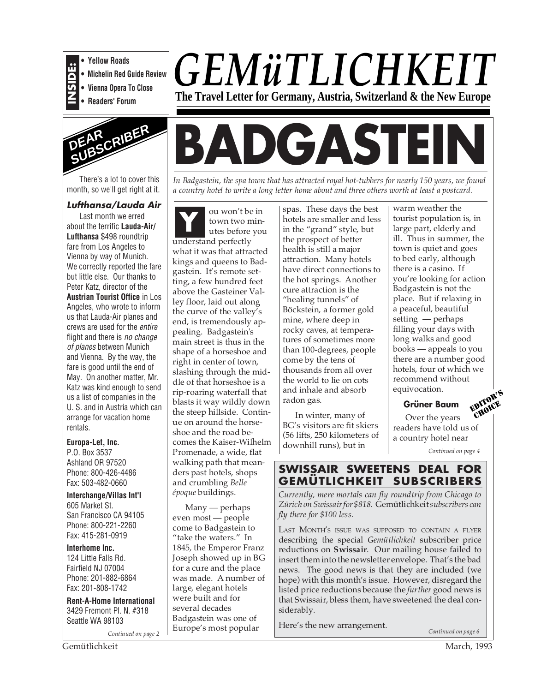

**• Yellow Roads**

- **Michelin Red Guide Review**
- **Vienna Opera To Close • Readers' Forum**



There's a lot to cover this month, so we'll get right at it.

### **Lufthansa/Lauda Air**

Last month we erred about the terrific **Lauda-Air/ Lufthansa** \$498 roundtrip fare from Los Angeles to Vienna by way of Munich. We correctly reported the fare but little else. Our thanks to Peter Katz, director of the **Austrian Tourist Office** in Los Angeles, who wrote to inform us that Lauda-Air planes and crews are used for the entire flight and there is no change of planes between Munich and Vienna. By the way, the fare is good until the end of May. On another matter, Mr. Katz was kind enough to send us a list of companies in the U. S. and in Austria which can arrange for vacation home rentals.

### **Europa-Let, Inc.**

P.O. Box 3537 Ashland OR 97520 Phone: 800-426-4486 Fax: 503-482-0660

**Interchange/Villas Int'l** 605 Market St. San Francisco CA 94105 Phone: 800-221-2260 Fax: 415-281-0919

**Interhome Inc.** 124 Little Falls Rd. Fairfield NJ 07004 Phone: 201-882-6864 Fax: 201-808-1742

**Rent-A-Home International** 3429 Fremont Pl. N. #318 Seattle WA 98103

*Continued on page 2*



# **BADGASTE**

*In Badgastein, the spa town that has attracted royal hot-tubbers for nearly 150 years, we found a country hotel to write a long letter home about and three others worth at least a postcard.*

ou won't be in town two minutes before you understand perfectly what it was that attracted kings and queens to Badgastein. It's remote setting, a few hundred feet above the Gasteiner Valley floor, laid out along the curve of the valley's end, is tremendously appealing. Badgastein's main street is thus in the shape of a horseshoe and right in center of town, slashing through the middle of that horseshoe is a rip-roaring waterfall that blasts it way wildly down the steep hillside. Continue on around the horseshoe and the road becomes the Kaiser-Wilhelm Promenade, a wide, flat walking path that meanders past hotels, shops and crumbling *Belle époque* buildings. **Y**

Many — perhaps even most — people come to Badgastein to "take the waters." In 1845, the Emperor Franz Joseph showed up in BG for a cure and the place was made. A number of large, elegant hotels were built and for several decades Badgastein was one of Europe's most popular

spas. These days the best hotels are smaller and less in the "grand" style, but the prospect of better health is still a major attraction. Many hotels have direct connections to the hot springs. Another cure attraction is the "healing tunnels" of Böckstein, a former gold mine, where deep in rocky caves, at temperatures of sometimes more than 100-degrees, people come by the tens of thousands from all over the world to lie on cots and inhale and absorb radon gas.

In winter, many of BG's visitors are fit skiers (56 lifts, 250 kilometers of downhill runs), but in

warm weather the tourist population is, in large part, elderly and ill. Thus in summer, the town is quiet and goes to bed early, although there is a casino. If you're looking for action Badgastein is not the place. But if relaxing in a peaceful, beautiful setting — perhaps filling your days with long walks and good books — appeals to you there are a number good hotels, four of which we recommend without equivocation. EDITOR'S

### **Grüner Baum**

Over the years readers have told us of a country hotel near CHOICE

*Continued on page 4*

### **SWISSAIR SWEETENS DEAL FOR GEMÜTLICHKEIT SUBSCRIBERS**

*Currently, mere mortals can fly roundtrip from Chicago to Zürich on Swissair for \$818.* Gemütlichkeit*subscribers can fly there for \$100 less.*

LAST MONTH'S ISSUE WAS SUPPOSED TO CONTAIN A FLYER describing the special *Gemütlichkeit* subscriber price reductions on **Swissair**. Our mailing house failed to insert them into the newsletter envelope. That's the bad news. The good news is that they are included (we hope) with this month's issue. However, disregard the listed price reductions because the *further* good news is that Swissair, bless them, have sweetened the deal considerably.

Here's the new arrangement.

*Continued on page 6*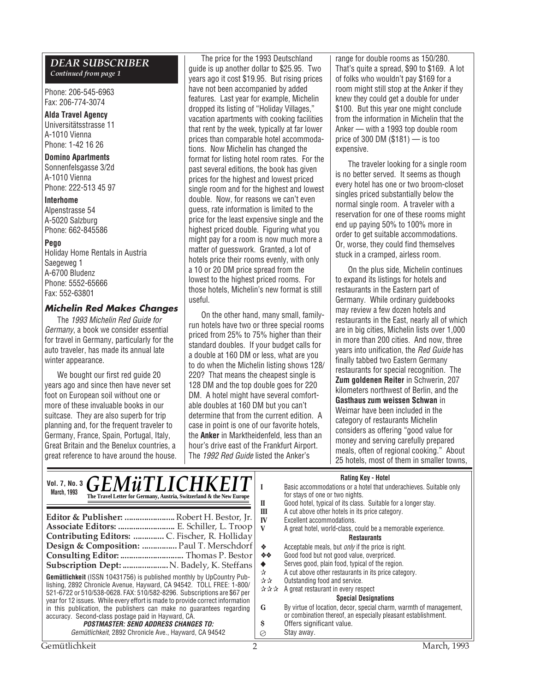### *DEAR SUBSCRIBER*

*Continued from page 1*

Phone: 206-545-6963 Fax: 206-774-3074

### **Alda Travel Agency**

Universitätsstrasse 11 A-1010 Vienna Phone: 1-42 16 26

### **Domino Apartments**

Sonnenfelsgasse 3/2d A-1010 Vienna Phone: 222-513 45 97

#### **Interhome**

Alpenstrasse 54 A-5020 Salzburg Phone: 662-845586

### **Pego**

Holiday Home Rentals in Austria Saegeweg 1 A-6700 Bludenz Phone: 5552-65666 Fax: 552-63801

### **Michelin Red Makes Changes**

The 1993 Michelin Red Guide for Germany, a book we consider essential for travel in Germany, particularly for the auto traveler, has made its annual late winter appearance.

We bought our first red guide 20 years ago and since then have never set foot on European soil without one or more of these invaluable books in our suitcase. They are also superb for trip planning and, for the frequent traveler to Germany, France, Spain, Portugal, Italy, Great Britain and the Benelux countries, a great reference to have around the house.

The price for the 1993 Deutschland guide is up another dollar to \$25.95. Two years ago it cost \$19.95. But rising prices have not been accompanied by added features. Last year for example, Michelin dropped its listing of "Holiday Villages," vacation apartments with cooking facilities that rent by the week, typically at far lower prices than comparable hotel accommodations. Now Michelin has changed the format for listing hotel room rates. For the past several editions, the book has given prices for the highest and lowest priced single room and for the highest and lowest double. Now, for reasons we can't even guess, rate information is limited to the price for the least expensive single and the highest priced double. Figuring what you might pay for a room is now much more a matter of guesswork. Granted, a lot of hotels price their rooms evenly, with only a 10 or 20 DM price spread from the lowest to the highest priced rooms. For those hotels, Michelin's new format is still useful.

On the other hand, many small, familyrun hotels have two or three special rooms priced from 25% to 75% higher than their standard doubles. If your budget calls for a double at 160 DM or less, what are you to do when the Michelin listing shows 128/ 220? That means the cheapest single is 128 DM and the top double goes for 220 DM. A hotel might have several comfortable doubles at 160 DM but you can't determine that from the current edition. A case in point is one of our favorite hotels, the **Anker** in Marktheidenfeld, less than an hour's drive east of the Frankfurt Airport. The 1992 Red Guide listed the Anker's

range for double rooms as 150/280. That's quite a spread, \$90 to \$169. A lot of folks who wouldn't pay \$169 for a room might still stop at the Anker if they knew they could get a double for under \$100. But this year one might conclude from the information in Michelin that the Anker — with a 1993 top double room price of 300 DM (\$181) — is too expensive.

The traveler looking for a single room is no better served. It seems as though every hotel has one or two broom-closet singles priced substantially below the normal single room. A traveler with a reservation for one of these rooms might end up paying 50% to 100% more in order to get suitable accommodations. Or, worse, they could find themselves stuck in a cramped, airless room.

On the plus side, Michelin continues to expand its listings for hotels and restaurants in the Eastern part of Germany. While ordinary guidebooks may review a few dozen hotels and restaurants in the East, nearly all of which are in big cities, Michelin lists over 1,000 in more than 200 cities. And now, three years into unification, the Red Guide has finally tabbed two Eastern Germany restaurants for special recognition. The **Zum goldenen Reiter** in Schwerin, 207 kilometers northwest of Berlin, and the **Gasthaus zum weissen Schwan** in Weimar have been included in the category of restaurants Michelin considers as offering "good value for money and serving carefully prepared meals, often of regional cooking." About 25 hotels, most of them in smaller towns,

### **Rating Key - Hotel**

| Vol. 7, No. 3 $GEMWTLICHKEIT$<br><b>March, 1993</b><br>The Travel Letter for Germany, Austria, Switzerland & the New Europe                                                                                                                                                                                                                                                                                                                                                                                                                                                                                                                                                                                                                                                                    | natility New Protect<br>Basic accommodations or a hotel that underachieves. Suitable only<br>for stays of one or two nights.<br>Good hotel, typical of its class. Suitable for a longer stay.<br>П                                                                                                                                                                                                                                                                                                                                                                                                                                                                                                                                                     |  |
|------------------------------------------------------------------------------------------------------------------------------------------------------------------------------------------------------------------------------------------------------------------------------------------------------------------------------------------------------------------------------------------------------------------------------------------------------------------------------------------------------------------------------------------------------------------------------------------------------------------------------------------------------------------------------------------------------------------------------------------------------------------------------------------------|--------------------------------------------------------------------------------------------------------------------------------------------------------------------------------------------------------------------------------------------------------------------------------------------------------------------------------------------------------------------------------------------------------------------------------------------------------------------------------------------------------------------------------------------------------------------------------------------------------------------------------------------------------------------------------------------------------------------------------------------------------|--|
| Editor & Publisher:  Robert H. Bestor, Jr.<br>Associate Editors:  E. Schiller, L. Troop<br>Contributing Editors:  C. Fischer, R. Holliday<br>Design & Composition:  Paul T. Merschdorf<br>Subscription Dept:  N. Badely, K. Steffans<br><b>Gemütlichkeit</b> (ISSN 10431756) is published monthly by UpCountry Pub-<br>lishing, 2892 Chronicle Avenue, Hayward, CA 94542. TOLL FREE: 1-800/<br>521-6722 or 510/538-0628. FAX: 510/582-8296. Subscriptions are \$67 per<br>year for 12 issues. While every effort is made to provide correct information<br>in this publication, the publishers can make no guarantees regarding<br>accuracy. Second-class postage paid in Hayward, CA.<br><i>POSTMASTER: SEND ADDRESS CHANGES TO:</i><br>Gemütlichkeit, 2892 Chronicle Ave., Hayward, CA 94542 | A cut above other hotels in its price category.<br>Ш<br>IV<br>Excellent accommodations.<br>V<br>A great hotel, world-class, could be a memorable experience.<br><b>Restaurants</b><br>Acceptable meals, but <i>only</i> if the price is right.<br><b>AND REAL</b><br>Good food but not good value, overpriced.<br>冷冷<br>Serves good, plain food, typical of the region.<br>A cut above other restaurants in its price category.<br>☆<br>Outstanding food and service.<br>사자<br>☆☆☆ A great restaurant in every respect<br><b>Special Designations</b><br>By virtue of location, decor, special charm, warmth of management,<br>G<br>or combination thereof, an especially pleasant establishment.<br>Offers significant value.<br>s<br>Stay away.<br>Ø |  |

Gemütlichkeit 2 March, 1993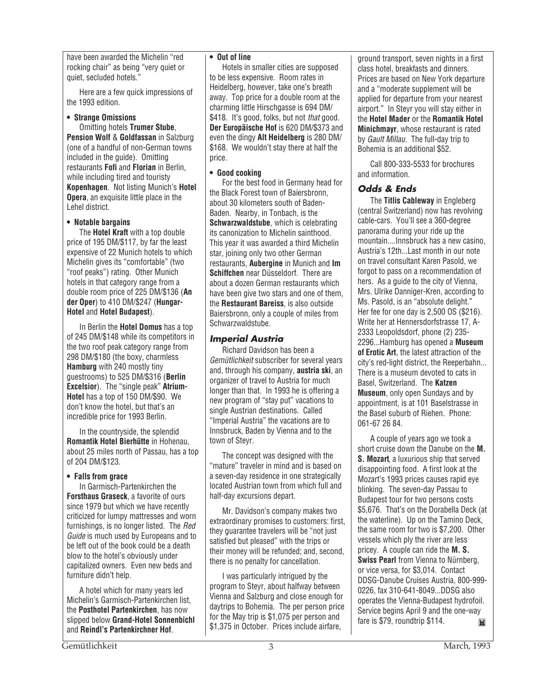have been awarded the Michelin "red rocking chair" as being "very quiet or quiet, secluded hotels."

Here are a few quick impressions of the 1993 edition.

### **• Strange Omissions**

Omitting hotels **Trumer Stube**, **Pension Wolf** & **Goldfassan** in Salzburg (one of a handful of non-German towns included in the guide). Omitting restaurants **Fofi** and **Florian** in Berlin, while including tired and touristy **Kopenhagen**. Not listing Munich's **Hotel Opera**, an exquisite little place in the Lehel district.

### **• Notable bargains**

The **Hotel Kraft** with a top double price of 195 DM/\$117, by far the least expensive of 22 Munich hotels to which Michelin gives its "comfortable" (two "roof peaks") rating. Other Munich hotels in that category range from a double room price of 225 DM/\$136 (**An der Oper**) to 410 DM/\$247 (**Hungar-Hotel** and **Hotel Budapest**).

In Berlin the **Hotel Domus** has a top of 245 DM/\$148 while its competitors in the two roof peak category range from 298 DM/\$180 (the boxy, charmless **Hamburg** with 240 mostly tiny guestrooms) to 525 DM/\$316 (**Berlin Excelsior**). The "single peak" **Atrium-Hotel** has a top of 150 DM/\$90. We don't know the hotel, but that's an incredible price for 1993 Berlin.

In the countryside, the splendid **Romantik Hotel Bierhütte** in Hohenau, about 25 miles north of Passau, has a top of 204 DM/\$123.

### **• Falls from grace**

In Garmisch-Partenkirchen the **Forsthaus Graseck**, a favorite of ours since 1979 but which we have recently criticized for lumpy mattresses and worn furnishings, is no longer listed. The Red Guide is much used by Europeans and to be left out of the book could be a death blow to the hotel's obviously under capitalized owners. Even new beds and furniture didn't help.

A hotel which for many years led Michelin's Garmisch-Partenkirchen list, the **Posthotel Partenkirchen**, has now slipped below **Grand-Hotel Sonnenbichl** and **Reindl's Partenkirchner Hof**.

### **• Out of line**

Hotels in smaller cities are supposed to be less expensive. Room rates in Heidelberg, however, take one's breath away. Top price for a double room at the charming little Hirschgasse is 694 DM/ \$418. It's good, folks, but not *that* good. **Der Europäische Hof** is 620 DM/\$373 and even the dingy **Alt Heidelberg** is 280 DM/ \$168. We wouldn't stay there at half the price.

### **• Good cooking**

For the best food in Germany head for the Black Forest town of Baiersbronn, about 30 kilometers south of Baden-Baden. Nearby, in Tonbach, is the **Schwarzwaldstube**, which is celebrating its canonization to Michelin sainthood. This year it was awarded a third Michelin star, joining only two other German restaurants, **Aubergine** in Munich and **Im Schiffchen** near Düsseldorf. There are about a dozen German restaurants which have been give two stars and one of them. the **Restaurant Bareiss**, is also outside Baiersbronn, only a couple of miles from Schwarzwaldstube.

### **Imperial Austria**

Richard Davidson has been a Gemütlichkeit subscriber for several years and, through his company, **austria ski**, an organizer of travel to Austria for much longer than that. In 1993 he is offering a new program of "stay put" vacations to single Austrian destinations. Called "Imperial Austria" the vacations are to Innsbruck, Baden by Vienna and to the town of Steyr.

The concept was designed with the "mature" traveler in mind and is based on a seven-day residence in one strategically located Austrian town from which full and half-day excursions depart.

Mr. Davidson's company makes two extraordinary promises to customers: first, they guarantee travelers will be "not just satisfied but pleased" with the trips or their money will be refunded; and, second, there is no penalty for cancellation.

I was particularly intrigued by the program to Steyr, about halfway between Vienna and Salzburg and close enough for daytrips to Bohemia. The per person price for the May trip is \$1,075 per person and \$1,375 in October. Prices include airfare.

ground transport, seven nights in a first class hotel, breakfasts and dinners. Prices are based on New York departure and a "moderate supplement will be applied for departure from your nearest airport." In Steyr you will stay either in the **Hotel Mader** or the **Romantik Hotel Minichmayr**, whose restaurant is rated by Gault Millau. The full-day trip to Bohemia is an additional \$52.

Call 800-333-5533 for brochures and information.

### **Odds & Ends**

The **Titlis Cableway** in Engleberg (central Switzerland) now has revolving cable-cars. You'll see a 360-degree panorama during your ride up the mountain....Innsbruck has a new casino, Austria's 12th...Last month in our note on travel consultant Karen Pasold, we forgot to pass on a recommendation of hers. As a quide to the city of Vienna, Mrs. Ulrike Danniger-Kren, according to Ms. Pasold, is an "absolute delight." Her fee for one day is 2,500 OS (\$216). Write her at Hennersdorfstrasse 17, A-2333 Leopoldsdorf, phone (2) 235- 2296...Hamburg has opened a **Museum of Erotic Art**, the latest attraction of the city's red-light district, the Reeperbahn... There is a museum devoted to cats in Basel, Switzerland. The **Katzen Museum**, only open Sundays and by appointment, is at 101 Baselstrasse in the Basel suburb of Riehen. Phone: 061-67 26 84.

A couple of years ago we took a short cruise down the Danube on the **M. S. Mozart**, a luxurious ship that served disappointing food. A first look at the Mozart's 1993 prices causes rapid eye blinking. The seven-day Passau to Budapest tour for two persons costs \$5,676. That's on the Dorabella Deck (at the waterline). Up on the Tamino Deck, the same room for two is \$7,200. Other vessels which ply the river are less pricey. A couple can ride the **M. S. Swiss Pearl** from Vienna to Nürnberg, or vice versa, for \$3,014. Contact DDSG-Danube Cruises Austria, 800-999- 0226, fax 310-641-8049...DDSG also operates the Vienna-Budapest hydrofoil. Service begins April 9 and the one-way fare is \$79, roundtrip \$114. $\blacksquare$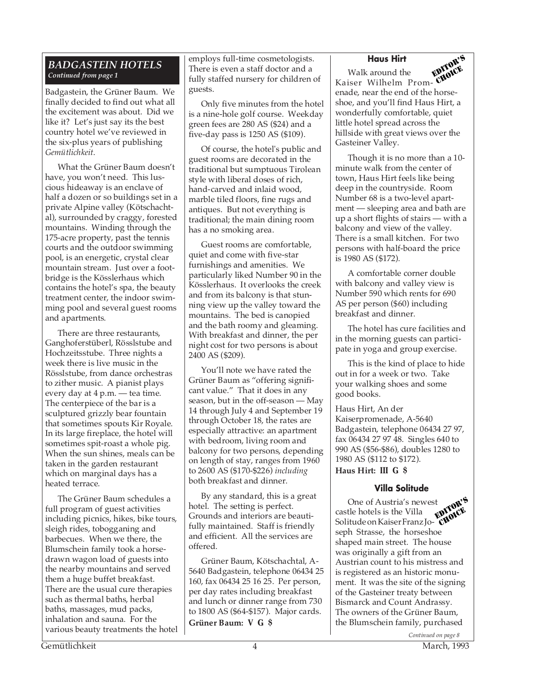### *BADGASTEIN HOTELS Continued from page 1*

Badgastein, the Grüner Baum. We finally decided to find out what all the excitement was about. Did we like it? Let's just say its the best country hotel we've reviewed in the six-plus years of publishing *Gemütlichkeit*.

What the Grüner Baum doesn't have, you won't need. This luscious hideaway is an enclave of half a dozen or so buildings set in a private Alpine valley (Kötschachtal), surrounded by craggy, forested mountains. Winding through the 175-acre property, past the tennis courts and the outdoor swimming pool, is an energetic, crystal clear mountain stream. Just over a footbridge is the Kösslerhaus which contains the hotel's spa, the beauty treatment center, the indoor swimming pool and several guest rooms and apartments.

There are three restaurants, Ganghoferstüberl, Rösslstube and Hochzeitsstube. Three nights a week there is live music in the Rösslstube, from dance orchestras to zither music. A pianist plays every day at 4 p.m. — tea time. The centerpiece of the bar is a sculptured grizzly bear fountain that sometimes spouts Kir Royale. In its large fireplace, the hotel will sometimes spit-roast a whole pig. When the sun shines, meals can be taken in the garden restaurant which on marginal days has a heated terrace.

The Grüner Baum schedules a full program of guest activities including picnics, hikes, bike tours, sleigh rides, tobogganing and barbecues. When we there, the Blumschein family took a horsedrawn wagon load of guests into the nearby mountains and served them a huge buffet breakfast. There are the usual cure therapies such as thermal baths, herbal baths, massages, mud packs, inhalation and sauna. For the various beauty treatments the hotel employs full-time cosmetologists. There is even a staff doctor and a fully staffed nursery for children of guests.

Only five minutes from the hotel is a nine-hole golf course. Weekday green fees are 280 AS (\$24) and a five-day pass is 1250 AS (\$109).

Of course, the hotel's public and guest rooms are decorated in the traditional but sumptuous Tirolean style with liberal doses of rich, hand-carved and inlaid wood, marble tiled floors, fine rugs and antiques. But not everything is traditional; the main dining room has a no smoking area.

Guest rooms are comfortable, quiet and come with five-star furnishings and amenities. We particularly liked Number 90 in the Kösslerhaus. It overlooks the creek and from its balcony is that stunning view up the valley toward the mountains. The bed is canopied and the bath roomy and gleaming. With breakfast and dinner, the per night cost for two persons is about 2400 AS (\$209).

You'll note we have rated the Grüner Baum as "offering significant value." That it does in any season, but in the off-season — May 14 through July 4 and September 19 through October 18, the rates are especially attractive: an apartment with bedroom, living room and balcony for two persons, depending on length of stay, ranges from 1960 to 2600 AS (\$170-\$226) *including* both breakfast and dinner.

By any standard, this is a great hotel. The setting is perfect. Grounds and interiors are beautifully maintained. Staff is friendly and efficient. All the services are offered.

Grüner Baum, Kötschachtal, A-5640 Badgastein, telephone 06434 25 160, fax 06434 25 16 25. Per person, per day rates including breakfast and lunch or dinner range from 730 to 1800 AS (\$64-\$157). Major cards. **Grüner Baum: V G \$**

### **Haus Hirt**



Walk around the Kaiser Wilhelm Promenade, near the end of the horseshoe, and you'll find Haus Hirt, a wonderfully comfortable, quiet little hotel spread across the hillside with great views over the Gasteiner Valley. CHOICE

Though it is no more than a 10 minute walk from the center of town, Haus Hirt feels like being deep in the countryside. Room Number 68 is a two-level apartment — sleeping area and bath are up a short flights of stairs — with a balcony and view of the valley. There is a small kitchen. For two persons with half-board the price is 1980 AS (\$172).

A comfortable corner double with balcony and valley view is Number 590 which rents for 690 AS per person (\$60) including breakfast and dinner.

The hotel has cure facilities and in the morning guests can participate in yoga and group exercise.

This is the kind of place to hide out in for a week or two. Take your walking shoes and some good books.

Haus Hirt, An der Kaiserpromenade, A-5640 Badgastein, telephone 06434 27 97, fax 06434 27 97 48. Singles 640 to 990 AS (\$56-\$86), doubles 1280 to 1980 AS (\$112 to \$172). **Haus Hirt: III G \$**

### **Villa Solitude**

One of Austria's newest castle hotels is the Villa Solitude on Kaiser Franz Joseph Strasse, the horseshoe shaped main street. The house was originally a gift from an Austrian count to his mistress and is registered as an historic monument. It was the site of the signing of the Gasteiner treaty between Bismarck and Count Andrassy. The owners of the Grüner Baum, the Blumschein family, purchased EDITOR'S CHOICE.<br>CHOICE

*Continued on page 8*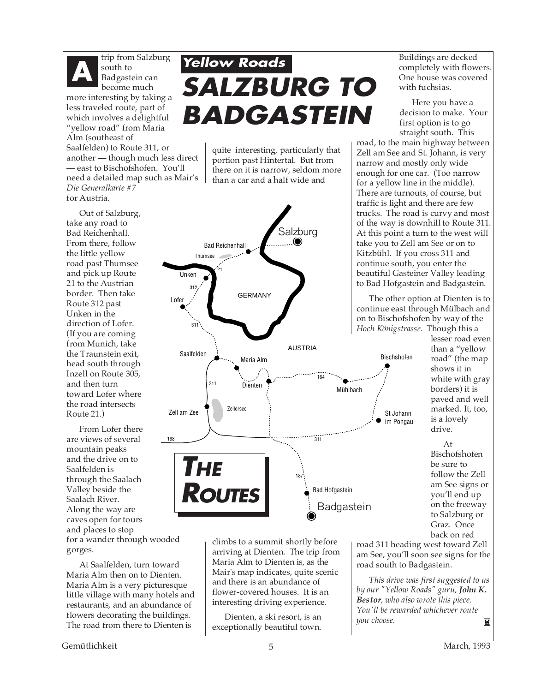

trip from Salzburg south to Badgastein can become much more interesting by taking a

less traveled route, part of which involves a delightful "yellow road" from Maria Alm (southeast of Saalfelden) to Route 311, or another — though much less direct — east to Bischofshofen. You'll need a detailed map such as Mair's *Die Generalkarte #7* for Austria.

Out of Salzburg, take any road to Bad Reichenhall. From there, follow the little yellow road past Thumsee and pick up Route 21 to the Austrian border. Then take Route 312 past Unken in the direction of Lofer. (If you are coming from Munich, take the Traunstein exit, head south through Inzell on Route 305, and then turn toward Lofer where the road intersects Route 21.)

From Lofer there are views of several mountain peaks and the drive on to Saalfelden is through the Saalach Valley beside the Saalach River. Along the way are caves open for tours and places to stop for a wander through wooded gorges.

At Saalfelden, turn toward Maria Alm then on to Dienten. Maria Alm is a very picturesque little village with many hotels and restaurants, and an abundance of flowers decorating the buildings. The road from there to Dienten is

### **Yellow Roads SALZBURG TO BADGASTEIN**

quite interesting, particularly that portion past Hintertal. But from there on it is narrow, seldom more than a car and a half wide and



climbs to a summit shortly before arriving at Dienten. The trip from Maria Alm to Dienten is, as the Mair's map indicates, quite scenic and there is an abundance of flower-covered houses. It is an interesting driving experience.

Dienten, a ski resort, is an exceptionally beautiful town. Buildings are decked completely with flowers. One house was covered with fuchsias.

Here you have a decision to make. Your first option is to go straight south. This

road, to the main highway between Zell am See and St. Johann, is very narrow and mostly only wide enough for one car. (Too narrow for a yellow line in the middle). There are turnouts, of course, but traffic is light and there are few trucks. The road is curvy and most of the way is downhill to Route 311. At this point a turn to the west will take you to Zell am See or on to Kitzbühl. If you cross 311 and continue south, you enter the beautiful Gasteiner Valley leading to Bad Hofgastein and Badgastein.

The other option at Dienten is to continue east through Mülbach and on to Bischofshofen by way of the *Hoch Königstrasse*. Though this a

lesser road even than a "yellow road" (the map shows it in white with gray borders) it is paved and well marked. It, too, is a lovely drive.

At Bischofshofen be sure to follow the Zell am See signs or you'll end up on the freeway to Salzburg or Graz. Once back on red

road 311 heading west toward Zell am See, you'll soon see signs for the road south to Badgastein.

*This drive was first suggested to us by our "Yellow Roads" guru, John K. Bestor, who also wrote this piece. You'll be rewarded whichever route you choose.* M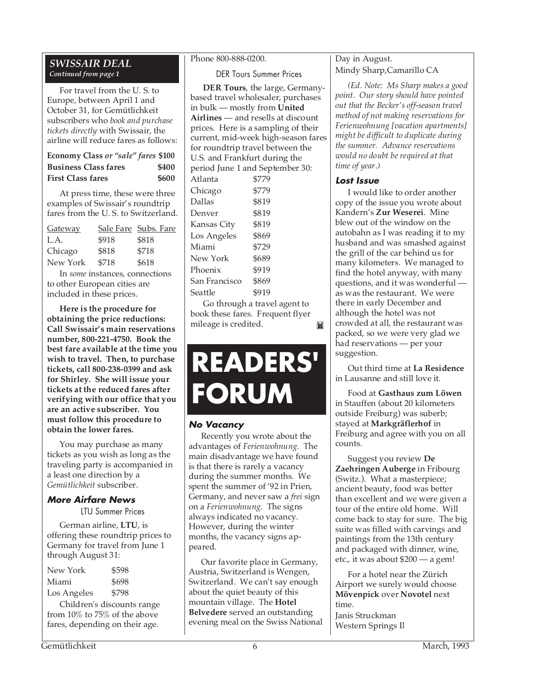### *SWISSAIR DEAL Continued from page 1*

For travel from the U. S. to Europe, between April 1 and October 31, for Gemütlichkeit subscribers who *book and purchase tickets directly* with Swissair, the airline will reduce fares as follows:

| Economy Class or "sale" fares \$100 |       |
|-------------------------------------|-------|
| <b>Business Class fares</b>         | \$400 |
| <b>First Class fares</b>            | \$600 |

At press time, these were three examples of Swissair's roundtrip fares from the U. S. to Switzerland.

|       | Sale Fare Subs. Fare |
|-------|----------------------|
| \$918 | \$818                |
| \$818 | \$718                |
| \$718 | \$618                |
|       |                      |

In *some* instances, connections to other European cities are included in these prices.

**Here is the procedure for obtaining the price reductions: Call Swissair's main reservations number, 800-221-4750. Book the best fare available at the time you wish to travel. Then, to purchase tickets, call 800-238-0399 and ask for Shirley. She will issue your tickets at the reduced fares after verifying with our office that you are an active subscriber. You must follow this procedure to obtain the lower fares.**

You may purchase as many tickets as you wish as long as the traveling party is accompanied in a least one direction by a *Gemütlichkeit* subscriber.

### **More Airfare News**

LTU Summer Prices

German airline, **LTU**, is offering these roundtrip prices to Germany for travel from June 1 through August 31:

| New York    | \$598 |
|-------------|-------|
| Miami       | \$698 |
| Los Angeles | \$798 |

Children's discounts range from 10% to 75% of the above fares, depending on their age.

### Phone 800-888-0200.

DER Tours Summer Prices

|                                     | DER Tours, the large, Germany-      |  |
|-------------------------------------|-------------------------------------|--|
| based travel wholesaler, purchases  |                                     |  |
| in bulk — mostly from <b>United</b> |                                     |  |
|                                     | Airlines - and resells at discount  |  |
|                                     | prices. Here is a sampling of their |  |
| current, mid-week high-season fares |                                     |  |
| for roundtrip travel between the    |                                     |  |
| U.S. and Frankfurt during the       |                                     |  |
| period June 1 and September 30:     |                                     |  |
| Atlanta                             | \$779                               |  |
| Chicago                             | \$779                               |  |
| Dallas                              | \$819                               |  |
| Denver                              | \$819                               |  |
| Kansas City                         | \$819                               |  |
| Los Angeles                         | \$869                               |  |
| Miami                               | \$729                               |  |
| New York                            | \$689                               |  |
| Phoenix                             | \$919                               |  |
| San Francisco                       | \$869                               |  |
| Seattle                             | \$919                               |  |
|                                     |                                     |  |

Go through a travel agent to book these fares. Frequent flyer mileage is credited. M

## **READERS' FORUM**

### **No Vacancy**

Recently you wrote about the advantages of *Ferienwohnung*. The main disadvantage we have found is that there is rarely a vacancy during the summer months. We spent the summer of '92 in Prien, Germany, and never saw a *frei* sign on a *Ferienwohnung.* The signs always indicated no vacancy. However, during the winter months, the vacancy signs appeared.

Our favorite place in Germany, Austria, Switzerland is Wengen, Switzerland. We can't say enough about the quiet beauty of this mountain village. The **Hotel Belvedere** served an outstanding evening meal on the Swiss National Day in August. Mindy Sharp,Camarillo CA

*(Ed. Note: Ms Sharp makes a good point. Our story should have pointed out that the Becker's off-season travel method of not making reservations for Ferienwohnung [vacation apartments] might be difficult to duplicate during the summer. Advance reservations would no doubt be required at that time of year.)*

### **Lost Issue**

I would like to order another copy of the issue you wrote about Kandern's **Zur Weserei**. Mine blew out of the window on the autobahn as I was reading it to my husband and was smashed against the grill of the car behind us for many kilometers. We managed to find the hotel anyway, with many questions, and it was wonderful as was the restaurant. We were there in early December and although the hotel was not crowded at all, the restaurant was packed, so we were very glad we had reservations — per your suggestion.

Out third time at **La Residence** in Lausanne and still love it.

Food at **Gasthaus zum Löwen** in Stauffen (about 20 kilometers outside Freiburg) was suberb; stayed at **Markgräflerhof** in Freiburg and agree with you on all counts.

Suggest you review **De Zaehringen Auberge** in Fribourg (Switz.). What a masterpiece; ancient beauty, food was better than excellent and we were given a tour of the entire old home. Will come back to stay for sure. The big suite was filled with carvings and paintings from the 13th century and packaged with dinner, wine, etc., it was about \$200 — a gem!

For a hotel near the Zürich Airport we surely would choose **Mövenpick** over **Novotel** next time. Janis Struckman Western Springs Il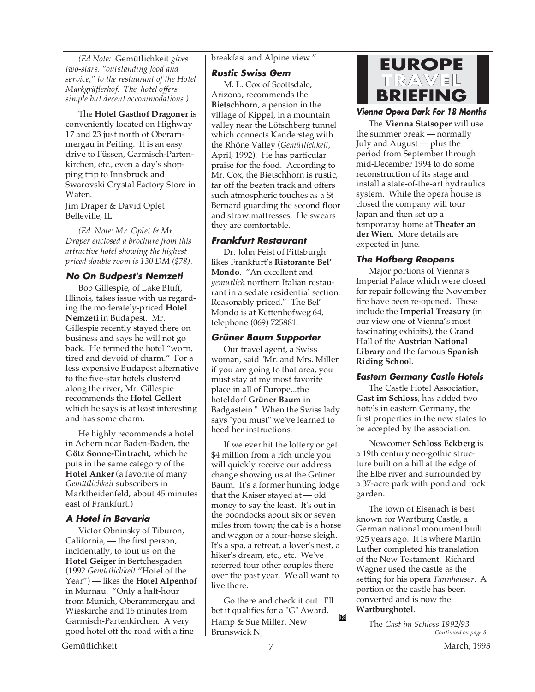*(Ed Note:* Gemütlichkeit *gives two-stars, "outstanding food and service," to the restaurant of the Hotel Markgräflerhof. The hotel offers simple but decent accommodations.)*

The **Hotel Gasthof Dragoner** is conveniently located on Highway 17 and 23 just north of Oberammergau in Peiting. It is an easy drive to Füssen, Garmisch-Partenkirchen, etc., even a day's shopping trip to Innsbruck and Swarovski Crystal Factory Store in Waten.

Jim Draper & David Oplet Belleville, IL

*(Ed. Note: Mr. Oplet & Mr. Draper enclosed a brochure from this attractive hotel showing the highest priced double room is 130 DM (\$78).*

### **No On Budpest's Nemzeti**

Bob Gillespie, of Lake Bluff, Illinois, takes issue with us regarding the moderately-priced **Hotel Nemzeti** in Budapest. Mr. Gillespie recently stayed there on business and says he will not go back. He termed the hotel "worn, tired and devoid of charm." For a less expensive Budapest alternative to the five-star hotels clustered along the river, Mr. Gillespie recommends the **Hotel Gellert** which he says is at least interesting and has some charm.

He highly recommends a hotel in Achern near Baden-Baden, the **Götz Sonne-Eintracht**, which he puts in the same category of the **Hotel Anker** (a favorite of many *Gemütlichkeit* subscribers in Marktheidenfeld, about 45 minutes east of Frankfurt.)

### **A Hotel in Bavaria**

Victor Obninsky of Tiburon, California, — the first person, incidentally, to tout us on the **Hotel Geiger** in Bertchesgaden (1992 *Gemütlichkeit* "Hotel of the Year") — likes the **Hotel Alpenhof** in Murnau. "Only a half-hour from Munich, Oberammergau and Wieskirche and 15 minutes from Garmisch-Partenkirchen. A very good hotel off the road with a fine

breakfast and Alpine view."

**Rustic Swiss Gem**

M. L. Cox of Scottsdale, Arizona, recommends the **Bietschhorn**, a pension in the village of Kippel, in a mountain valley near the Lötschberg tunnel which connects Kandersteg with the Rhône Valley (*Gemütlichkeit*, April, 1992). He has particular praise for the food. According to Mr. Cox, the Bietschhorn is rustic, far off the beaten track and offers such atmospheric touches as a St Bernard guarding the second floor and straw mattresses. He swears they are comfortable.

### **Frankfurt Restaurant**

Dr. John Feist of Pittsburgh likes Frankfurt's **Ristorante Bel' Mondo**. "An excellent and *gemütlich* northern Italian restaurant in a sedate residential section. Reasonably priced." The Bel' Mondo is at Kettenhofweg 64, telephone (069) 725881.

### **Grüner Baum Supporter**

Our travel agent, a Swiss woman, said "Mr. and Mrs. Miller if you are going to that area, you must stay at my most favorite place in all of Europe...the hoteldorf **Grüner Baum** in Badgastein." When the Swiss lady says "you must" we've learned to heed her instructions.

If we ever hit the lottery or get \$4 million from a rich uncle you will quickly receive our address change showing us at the Grüner Baum. It's a former hunting lodge that the Kaiser stayed at — old money to say the least. It's out in the boondocks about six or seven miles from town; the cab is a horse and wagon or a four-horse sleigh. It's a spa, a retreat, a lover's nest, a hiker's dream, etc., etc. We've referred four other couples there over the past year. We all want to live there.

Go there and check it out. I'll bet it qualifies for a "G" Award. Hamp & Sue Miller, New Brunswick NJ

M



**Vienna Opera Dark For 18 Months**

The **Vienna Statsoper** will use the summer break — normally July and August — plus the period from September through mid-December 1994 to do some reconstruction of its stage and install a state-of-the-art hydraulics system. While the opera house is closed the company will tour Japan and then set up a temporaray home at **Theater an der Wien**. More details are expected in June.

### **The Hofberg Reopens**

Major portions of Vienna's Imperial Palace which were closed for repair following the November fire have been re-opened. These include the **Imperial Treasury** (in our view one of Vienna's most fascinating exhibits), the Grand Hall of the **Austrian National Library** and the famous **Spanish Riding School**.

### **Eastern Germany Castle Hotels**

The Castle Hotel Association, **Gast im Schloss**, has added two hotels in eastern Germany, the first properties in the new states to be accepted by the association.

Newcomer **Schloss Eckberg** is a 19th century neo-gothic structure built on a hill at the edge of the Elbe river and surrounded by a 37-acre park with pond and rock garden.

The town of Eisenach is best known for Wartburg Castle, a German national monument built 925 years ago. It is where Martin Luther completed his translation of the New Testament. Richard Wagner used the castle as the setting for his opera *Tannhauser*. A portion of the castle has been converted and is now the **Wartburghotel**.

*Continued on page 8* The *Gast im Schloss 1992/93*